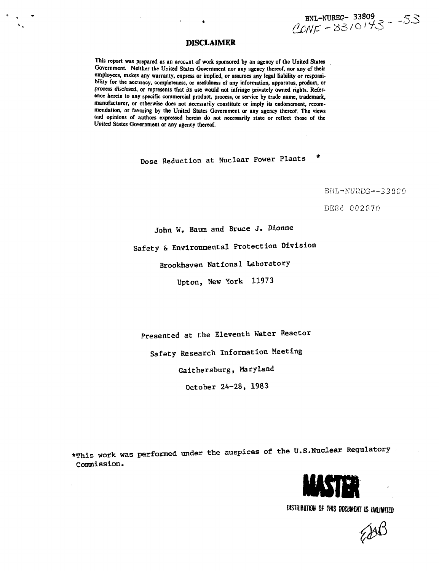BNL-NUREC- 33809<br>
CONF - 83/0143 - -53

## **DISCLAIMER**

**This report was prepared as an account of work sponsored by an agency of the United States** Government. Neither the United States Government nor any agency thereof, nor any of their **employees, makes any warranty, express or implied, or assumes any legal liability or responsibility for the accuracy, completeness, or usefulness of any information, apparatus, product, or process disclosed, or represents that its use would not infringe privately owned rights. Reference herein to any specific commercial product, process, or service by trade name, trademark, manufacturer, or otherwise does not necessarily constitute or imply its endorsement, recommendation, or favoring by the United States Government or any agency thereof. The views and opinions of authors expressed herein do not necessarily state or reflect those of the United States Government or any agency thereof.**

Dose Reduction at Nuclear Power Plants

BNL-NUREG--33809

DE84 002870

John W. Baum and Bruce J. Dionne

Safety & Environmental Protection Division

Brookhaven National Laboratory

Upton, New York 11973

Presented at the Eleventh Water Reactor

Safety Research Information Meeting

Gaithersburg, Maryland

October 24-28, 1983

\*This work was performed under the auspices of the U.S.Nuclear Regulatory Commission.



**DISTRIBUTION OF THIS DOCUMENT IS UNLIMITED** 

 $200$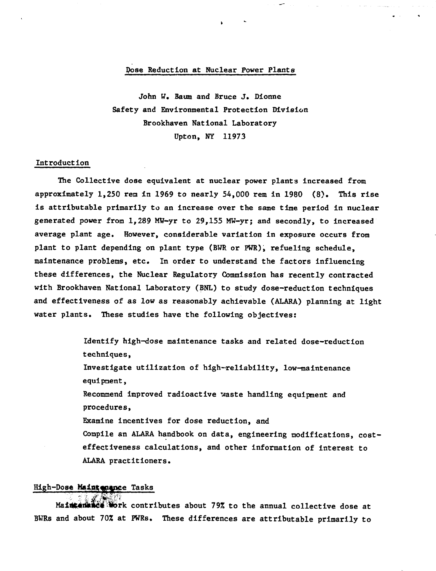## **Pose Reduction at Nuclear Power Plants**

**John W. Baum and Bruce J. Dionne Safety and Environmental Protection Division Brookhaven National Laboratory Upton, NY 11973**

### **Introduction**

**The Collective dose equivalent at nuclear power plants increased from approximately 1,250 ren in 1969 to nearly 54,000 rem in 1980 (8). This rise is attributable primarily to an increase over the same time period in nuclear generated power from 1,289 MW-yr to 29,155 MW-yr; and secondly, to increased average plant age. However, considerable variation in exposure occurs from plant to plant depending on plant type (BWR or PWR), refueling schedule, maintenance problems, etc. In order to understand the factors influencing these differences, the Nuclear Regulatory Commission has recently contracted with Brookhaven National Laboratory (BNL) to study dose-reduction techniques and effectiveness of as low as reasonably achievable (ALARA) planning at light water plants. These studies have the following objectives:**

> **Identify high-dose maintenance tasks and related dose-reduction techniques, Investigate utilization of high-reliability, low-maintenance equipment, Recommend improved radioactive waste handling equipment and procedures, Examine incentives for dose reduction, and Compile an ALARA handbook on data, engineering modifications, costeffectiveness calculations, and other information of interest to ALARA practitioners.**

### **High-Dose Maintantoce Tasks**

**/. -"!\*" ' Maiat«riklc\*< fcbrk contributes about 79% to the annual collective dose at BWRs and about 70% at PWRs. These differences are attributable primarily to**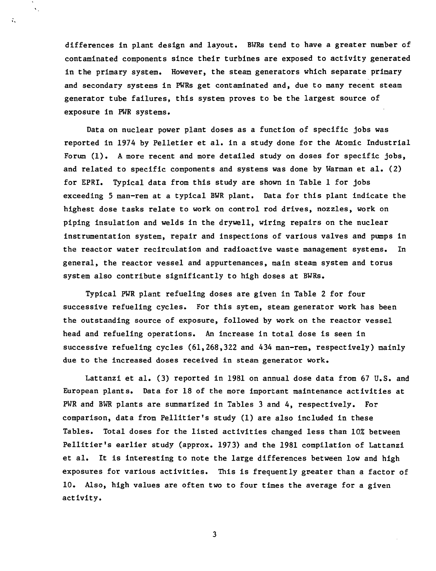differences in plant design and layout. BWRs tend to have a greater number of contaminated components since their turbines are exposed to activity generated in the primary system. However, the steam generators which separate primary and secondary systems in PWRs get contaminated and, due to many recent steam generator tube failures, this system proves to be the largest source of exposure in PWR systems.

 $\bar{\mathbf{v}}$  ,

÷.

Data on nuclear power plant doses as a function of specific jobs was reported in 1974 by Pelletier et al. in a study done for the Atomic Industrial Forum (1). A more recent and more detailed study on doses for specific jobs, and related to specific components and systems was done by Warman et al. (2) for EPRI. Typical data from this study are shown in Table 1 for jobs exceeding 5 man-rem at a typical BWR plant. Data for this plant indicate the highest dose tasks relate to work on control rod drives, nozzles, work on piping insulation and welds in the drywell, wiring repairs on the nuclear instrumentation system, repair and inspections of various valves and pumps in the reactor water recirculation and radioactive waste management systems. In general, the reactor vessel and appurtenances, main steam system and torus system also contribute significantly to high doses at BWRs.

Typical PWR plant refueling doses are given in Table 2 for four successive refueling cycles. For this sytem, steam generator work has been the outstanding source of exposure, followed by work on the reactor vessel head and refueling operations. An increase in total dose is seen in successive refueling cycles  $(61, 268, 322, 404, 434, 404, 404, 404)$  mainly due to the increased doses received in steam generator work.

Lattanzi et al. (3) reported in 1981 on annual dose data from 67 U.S. and European plants. Data for 18 of the more important maintenance activities at PWR and BWR plants are summarized in Tables 3 and 4, respectively. For comparison, data from Pellitier's study (1) are also included in these Tables. Total doses for the listed activities changed less than 10% between Pellitier's earlier study (approx. 1973) and the 1981 compilation of Lattanzi et al. It is interesting to note the large differences between low and high exposures for various activities. This is frequently greater than a factor of 10. Also, high values are often two to four times the average for a given activity.

 $\overline{\mathbf{3}}$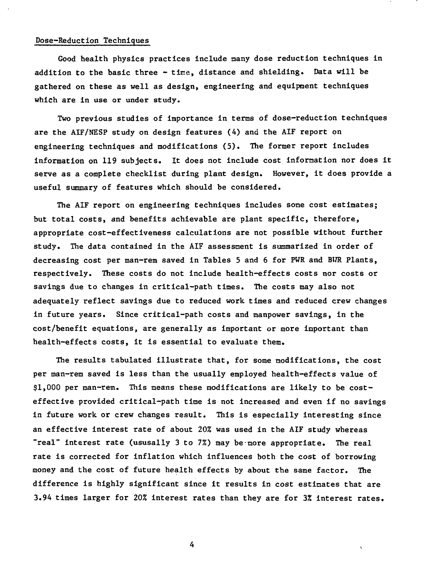### Dose-Reduction Techniques

Good health physics practices include nany dose reduction techniques in addition to the basic three - time, distance and shielding. Data will be gathered on these as well as design, engineering and equipment techniques which are in use or under study.

Two previous studies of importance in terms of dose-reduction techniques are the AIF/NESP study on design features (4) and the AIF report on engineering techniques and modifications (5). The former report includes information on 119 subjects. It does not include cost information nor does it serve as a complete checklist during plant design. However, it does provide a useful summary of features which should be considered.

The AIF report on engineering techniques includes some cost estimates; but total costs, and benefits achievable are plant specific, therefore, appropriate cost-effectiveness calculations are not possible without further study. The data contained in the AIF assessment is summarized in order of decreasing cost per man-rem saved in Tables 5 and 6 for PWR and BWR Plants, respectively. These costs do not include health-effects costs nor costs or savings due to changes in critical-path times. The costs may also not adequately reflect savings due to reduced work times and reduced crew changes in future years. Since critical-path costs and manpower savings, in the cost/benefit equations, are generally as important or more important than health-effects costs, it is essential to evaluate them.

The results tabulated illustrate that, for some modifications, the cost per man-rem saved is less than the usually employed health-effects value of \$1,000 per man-rem. This means these modifications are likely to be costeffective provided critical-path time is not increased and even if no savings in future work or crew changes result. This is especially interesting since an effective interest rate of about 20% was used in the AIF study whereas "real" interest rate (ususally 3 to 7%) may be-more appropriate. The real rate is corrected for inflation which influences both the cost of borrowing money and the cost of future health effects by about the same factor. The difference is highly significant since it results in cost estimates that are 3.94 times larger for 20% interest rates than they are for 3% interest rates.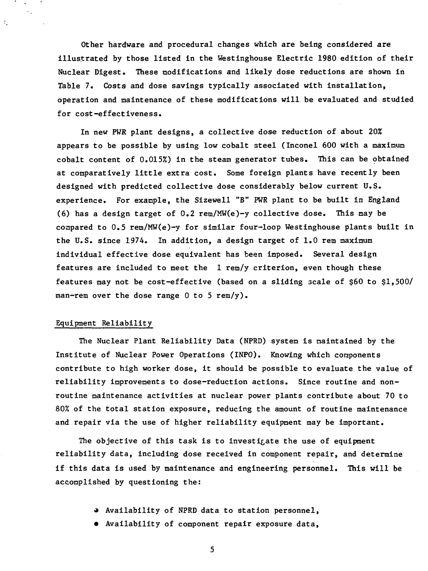Other hardware and procedural changes which are being considered are illustrated by those listed in the Westinghouse Electric 1980 edition of their Nuclear Digest. These modifications and likely dose reductions are shown in Table 7. Costs and dose savings typically associated with installation, operation and maintenance of these modifications will be evaluated and studied for cost-effectiveness.

In new PWR plant designs, a collective dose reduction of about 20% appears to be possible by using low cobalt steel (Inconel 600 with a maximum cobalt content of 0.015%) in the steam generator tubes. This can be obtained at comparatively little extra cost. Some foreign plants have recently been designed with predicted collective dose considerably below current U.S. experience. For example, the Sizewell "B" PWR plant to be built in England (6) has a design target of 0.2 rem/MW(e)-y collective dose. This may be compared to 0.5 rem/MW(e)-y for similar four-loop Westinghouse plants built in the U.S. since 1974. In addition, a design target of 1.0 rem maximum individual effective dose equivalent has been imposed. Several design features are included to meet the 1 rem/y criterion, even though these features may not be cost-effective (based on a sliding scale of \$60 to \$1,500/ man-rem over the dose range  $0$  to  $5$  rem/y).

## Equipment Reliability

 $\mathcal{L}_\mathrm{c}$ 

The Nuclear Plant Reliability Data (NPRD) system is naintained by the Institute of Nuclear Power Operations (INPO). Knowing which components contribute to high worker dose, it should be possible to evaluate the value of reliability improvements to dose-reduction actions. Since routine and nonroutine maintenance activities at nuclear power plants contribute about 70 to 80% of the total station exposure, reducing the amount of routine maintenance and repair via the use of higher reliability equipment may be important.

The objective of this task is to investigate the use of equipment reliability data, including dose received in component repair, and determine if this data is used by maintenance and engineering personnel. This will be accomplished by questioning the:

- » Availability of NPRD data to station personnel,
- Availability of component repair exposure data,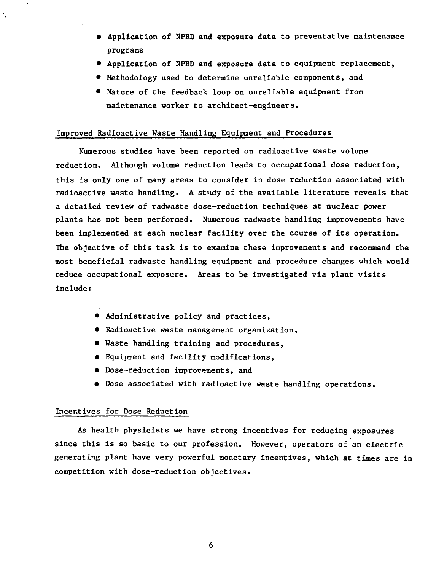- Application of NPRD and exposure data to preyentative maintenance programs
- Application of NPRD and exposure data to equipment replacement,
- Methodology used to determine unreliable components, and
- Nature of the feedback loop on unreliable equipment from maintenance worker to architect-engineers.

### Improved Radioactive Waste Handling Equipment and Procedures

Numerous studies have been reported on radioactive waste volume reduction. Although volume reduction leads to occupational dose reduction, this is only one of many areas to consider in dose reduction associated with radioactive waste handling. A study of the available literature reveals that a detailed review of radwaste dose-reduction techniques at nuclear power plants has not been performed. Numerous radwaste handling improvements have been implemented at each nuclear facility over the course of its operation. The objective of this task is to examine these improvements and recommend the most beneficial radwaste handling equipment and procedure changes which would reduce occupational exposure. Areas to be investigated via plant visits include:

- Administrative policy and practices,
- Radioactive waste management organization,
- Waste handling training and procedures,
- Equipment and facility modifications,
- Dose-reduction improvements, and
- Dose associated with radioactive waste handling operations.

## Incentives for Dose Reduction

۰.

As health physicists we have strong incentives for reducing exposures since this is so basic to our profession. However, operators of an electric generating plant have very powerful monetary incentives, which at times are in competition with dose-reduction objectives.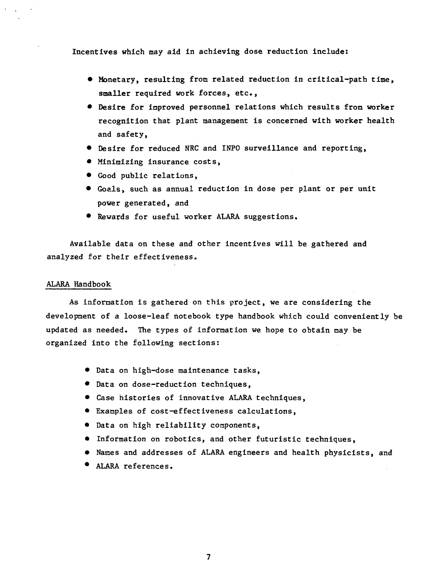Incentives which may aid in achieving dose reduction include:

- Monetary, resulting from related reduction in critical-path time, smaller required work forces, etc.,
- Desire for improved personnel relations which results from worker recognition that plant management is concerned with worker health and safety,
- Desire for reduced NRC and INPO surveillance and reporting,
- Minimizing insurance costs,
- Good public relations,
- Goals, such as annual reduction in dose per plant or per unit power generated, and
- Rewards for useful worker ALARA suggestions.

Available data on these and other incentives will be gathered and analyzed for their effectiveness.

#### ALARA Handbook

As information is gathered on this project, we are considering the development of a loose-leaf notebook type handbook which could conveniently be updated as needed. The types of information we hope to obtain may be organized into the following sections:

- Data on high-dose maintenance tasks,
- Data on dose-reduction techniques,
- Case histories of innovative ALARA techniques,
- Examples of cost-effectiveness calculations,
- Data on high reliability components,
- Information on robotics, and other futuristic techniques,
- Names and addresses of ALARA engineers and health physicists, and
- ALARA references.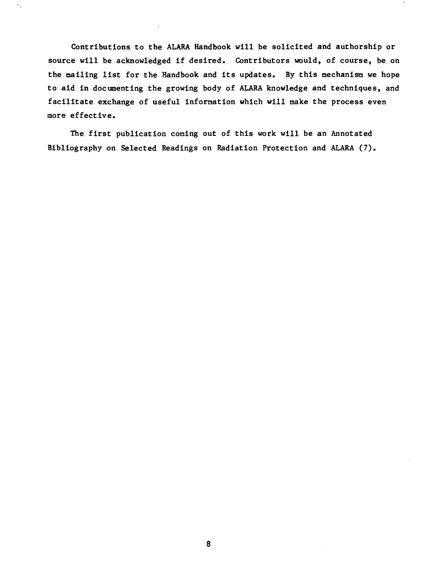**Contributions to the ALARA Handbook will be solicited and authorship or source will be acknowledged if desired. Contributors would, of course, be on the nailing list for the Handbook and its updates. By this mechanism we hope to aid in documenting the growing body of ALARA knowledge and techniques, and facilitate exchange of useful information which will make the process even more effective.**

 $\ddot{\phantom{a}}$ 

**The first publication coming out of this work will be an Annotated Bibliography on Selected Readings on Radiation Protection and ALARA (7).**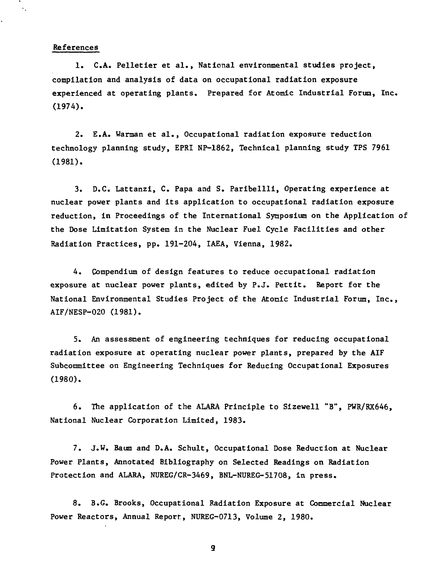### References

 $\ddotsc$ 

1. C.A. Pelletier et al., National environmental studies project, compilation and analysis of data on occupational radiation exposure experienced at operating plants. Prepared for Atomic Industrial Forum, Inc. (1974).

2. E.A. Warman et al., Occupational radiation exposure reduction technology planning study, EPRI NP-1862, Technical planning study TPS 7961 (1981).

3. D.C. Lattanzi, C. Papa and S. Paribellli, Operating experience at nuclear power plants and its application to occupational radiation exposure reduction, in Proceedings of the International Symposium on the Application of the Dose Limitation System in the Nuclear Fuel Cycle Facilities and other Radiation Practices, pp. 191-204, IAEA, Vienna, 1982.

4. Compendium of design features to reduce occupational radiation exposure at nuclear power plants, edited by P.J. Pettit. Report for the National Environmental Studies Project of the Atonic Industrial Forum, Inc., AIF/NESP-020 (1981).

5. An assessment of engineering techniques for reducing occupational radiation exposure at operating nuclear power plants, prepared by the AIF Subcommittee on Engineering Techniques for Reducing Occupational Exposures (1980).

6. The application of the ALARA Principle to Sizewell "B", PWR/RX646, National Nuclear Corporation Limited, 1983.

7. J.W. Baum and D.A. Schult, Occupational Dose Reduction at Nuclear Power Plants, Annotated Bibliography on Selected Readings on Radiation Protection and ALARA, NUREG/CR-3469, BNL-NUREG-51708, in press.

8. B.G. Brooks, Occupational Radiation Exposure at Commercial Nuclear Power Reactors, Annual Report, NUREG-0713, Volume 2, 1980.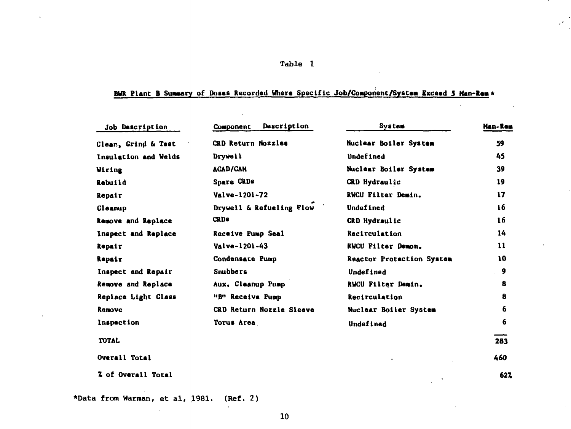## **Table 1**

 $\ddot{\phantom{a}}$ 

## **BUR Plant B Summary of Dotes Recorded Where Specific Job/Comporient/Syatem Exceed 3 Man-Ram\***

| Job Description      | Description<br>Component        | <b>System</b>             | Man-Rem |
|----------------------|---------------------------------|---------------------------|---------|
| Clean, Grind & Test  | CRD Return Nozzles              | Nuclear Boiler System     | 59      |
| Insulation and Welds | Drywell                         | <b>Undefined</b>          | 45      |
| <b>Wiring</b>        | <b>ACAD/CAM</b>                 | Nuclear Boiler System     | 39      |
| Rebuild              | <b>Spare CRDs</b>               | CRD Hydraulic             | 19      |
| Repair               | Valve-1201-72                   | RWCU Filter Demin.        | 17      |
| Cleanup              | Drywell & Refueling Flow        | Undefined                 | 16      |
| Remove and Replace   | <b>CRDs</b>                     | CRD Hydraulic             | 16      |
| Inspect and Replace  | Receive Pump Seal               | Recirculation             | 14      |
| Repair               | Valve-1201-43                   | <b>RWCU Filter Demon.</b> | 11      |
| Repair               | Condensate Pump                 | Reactor Protection System | 10      |
| Inspect and Repair   | Snubbers                        | Undefined                 | 9       |
| Remove and Replace   | Aux. Cleanup Pump               | RWCU Filter Demin.        | 8       |
| Replace Light Glass  | "B" Receive Pump                | Recirculation             | 8       |
| Remove               | <b>CRD Return Nozzle Sleeve</b> | Nuclear Boiler System     | 6       |
| Inspection           | Torus Area                      | <b>Undefined</b>          | 6       |
| <b>TOTAL</b>         |                                 |                           | 283     |
| Overall Total        |                                 |                           | 460     |
| Z of Overall Total   |                                 |                           | 627     |

\*Data from Warman, et al, 1981. (Ref. 2)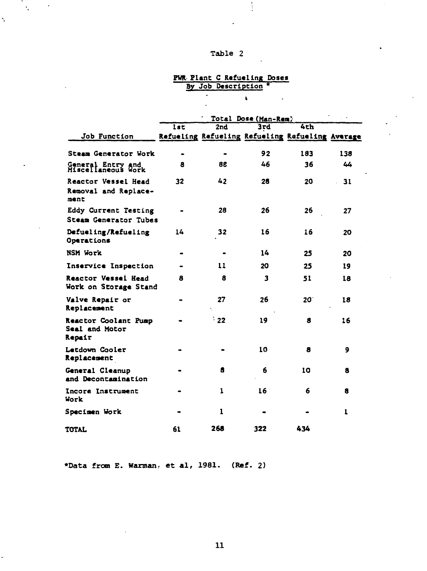# **Table 2**

 $\frac{1}{2}$ 

and the

 $\bar{\zeta}$ 

l,

 $\frac{1}{2} \sum_{i=1}^{n} \frac{1}{i} \sum_{j=1}^{n} \frac{1}{j} \sum_{j=1}^{n} \frac{1}{j} \sum_{j=1}^{n} \frac{1}{j} \sum_{j=1}^{n} \frac{1}{j} \sum_{j=1}^{n} \frac{1}{j} \sum_{j=1}^{n} \frac{1}{j} \sum_{j=1}^{n} \frac{1}{j} \sum_{j=1}^{n} \frac{1}{j} \sum_{j=1}^{n} \frac{1}{j} \sum_{j=1}^{n} \frac{1}{j} \sum_{j=1}^{n} \frac{1}{j} \sum_{j=1}^{n$ 

## **PWR Plant C Refueling Doses By Job Description \***

 $\mathbf{L}$ 

 $\sim$   $\sim$ 

 $\overline{\cdot}$ 

 $\mathbf{r}$ 

|                                                     | lst       | 2nd           | 3rd | 4th                                             |              |
|-----------------------------------------------------|-----------|---------------|-----|-------------------------------------------------|--------------|
| Job Function                                        |           |               |     | Refueling Refueling Refueling Refueling Average |              |
| Steam Generator Work                                |           | $\bullet$     | 92  | 183                                             | 138          |
| General Entry and<br>Miscellaneous Work             | 8         | 88            | 46  | 36                                              | 44           |
| Reactor Vessel Head<br>Removal and Replace-<br>ment | 32        | 42            | 28  | 20                                              | 31           |
| Eddy Current Testing<br>Steam Generator Tubes       |           | 28            | 26  | 26                                              | 27           |
| Defueling/Refueling<br>Operations                   | 14        | 32            | 16  | 16                                              | 20           |
| <b>NSM Work</b>                                     | $\bullet$ |               | 14  | 25                                              | 20           |
| Inservice Inspection                                |           | 11            | 20  | 25                                              | 19           |
| Reactor Vessel Head<br>Work on Storage Stand        | 8         | 8             | 3   | 51                                              | 18           |
| Valve Repair or<br>Replacement                      |           | 27            | 26  | 20                                              | 18           |
| Reactor Coolant Pump<br>Seal and Motor<br>Repair    |           | $^{\circ}$ 22 | 19  | 8                                               | 16           |
| Letdown Cooler<br>Replacement                       |           |               | 10  | 8                                               | 9            |
| General Cleanup<br>and Decontamination              |           | 8             | 6   | 10                                              | 8            |
| Incore Instrument<br>Work                           |           | 1             | 16  | 6                                               | 8            |
| Specimen Work                                       |           | 1             |     |                                                 | $\mathbf{I}$ |
| TOTAL                                               | 61        | 268           | 322 | 434                                             |              |

**•Data from E. Kantian, e t al, 1981. (Ref. 2)**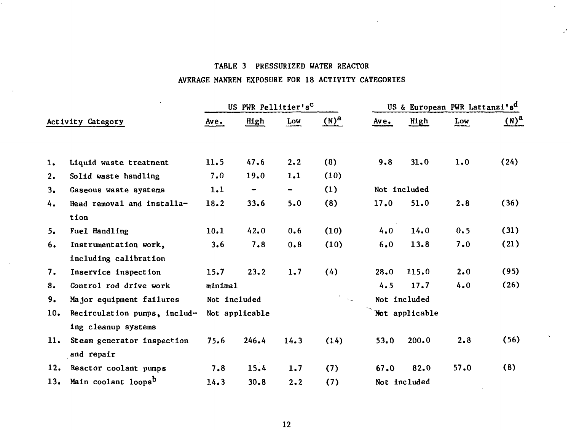## TABLE 3 PRESSURIZED WATER REACTOR

ä,

## AVERAGE MANREM EXPOSURE FOR 18 ACTIVITY CATEGORIES

|     |                                     |         | US PWR Pellitier's <sup>C</sup> |                |                   | US & European PWR Lattanzi's <sup>d</sup> |                |      |           |  |
|-----|-------------------------------------|---------|---------------------------------|----------------|-------------------|-------------------------------------------|----------------|------|-----------|--|
|     | Activity Category                   | Ave.    | High                            | Low            | $(N)^a$           | $A$ ve.                                   | High           | Low  | $(N)^{a}$ |  |
|     |                                     |         |                                 |                |                   |                                           |                |      |           |  |
| 1.  | Liquid waste treatment              | 11.5    | 47.6                            | 2.2            | (8)               | 9.8                                       | 31.0           | 1.0  | (24)      |  |
| 2.  | Solid waste handling                | 7.0     | 19.0                            | 1.1            | (10)              |                                           |                |      |           |  |
| 3.  | Gaseous waste systems               | 1.1     | $\qquad \qquad \blacksquare$    | $\blacksquare$ | (1)               |                                           | Not included   |      |           |  |
| 4.  | Head removal and installa-          | 18.2    | 33.6                            | 5.0            | (8)               | 17.0                                      | 51.0           | 2.8  | (36)      |  |
|     | tion                                |         |                                 |                |                   |                                           |                |      |           |  |
| 5.  | Fuel Handling                       | 10.1    | 42.0                            | 0.6            | (10)              | 4.0                                       | 14.0           | 0.5  | (31)      |  |
| 6.  | Instrumentation work,               | 3.6     | 7.8                             | 0.8            | (10)              | 6.0                                       | 13.8           | 7.0  | (21)      |  |
|     | including calibration               |         |                                 |                |                   |                                           |                |      |           |  |
| 7.  | Inservice inspection                | 15.7    | 23.2                            | 1.7            | (4)               | 28.0                                      | 115.0          | 2.0  | (95)      |  |
| 8.  | Control rod drive work              | minimal |                                 |                |                   | 4.5                                       | 17.7           | 4.0  | (26)      |  |
| 9.  | Major equipment failures            |         | Not included                    |                | $\sim$ $_{\rm H}$ |                                           | Not included   |      |           |  |
| 10. | Recirculation pumps, includ-        |         | Not applicable                  |                |                   |                                           | Not applicable |      |           |  |
|     | ing cleanup systems                 |         |                                 |                |                   |                                           |                |      |           |  |
| 11. | Steam generator inspection          | 75.6    | 246.4                           | 14.3           | (14)              | 53.0                                      | 200.0          | 2.3  | (56)      |  |
|     | and repair                          |         |                                 |                |                   |                                           |                |      |           |  |
| 12. | Reactor coolant pumps               | 7.8     | 15.4                            | 1.7            | (7)               | 67.0                                      | 82.0           | 57.0 | (8)       |  |
|     | 13. Main coolant loops <sup>b</sup> | 14.3    | 30.8                            | 2.2            | (7)               |                                           | Not included   |      |           |  |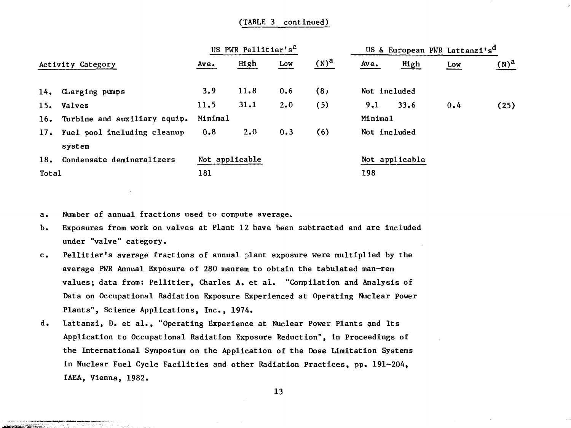## (TABLE 3 continued)

|       |                                  |         | US PWR Pellitier's <sup>C</sup> |     |         |              | US & European PWR Lattanzi's <sup>d</sup> |     |         |
|-------|----------------------------------|---------|---------------------------------|-----|---------|--------------|-------------------------------------------|-----|---------|
|       | Activity Category                | Ave.    | High                            | Low | $(N)^a$ | $A$ ve.      | High                                      | Low | $(N)^a$ |
|       | 14. Charging pumps               | 3.9     | 11.8                            | 0.6 | (8)     | Not included |                                           |     |         |
|       | 15. Valves                       | 11.5    | 31.1                            | 2.0 | (5)     | 9.1          | 33.6                                      | 0.4 | (25)    |
|       | 16. Turbine and auxiliary equip. | Minimal |                                 |     |         | Minimal      |                                           |     |         |
|       | 17. Fuel pool including cleanup  | 0.8     | 2.0                             | 0.3 | (6)     | Not included |                                           |     |         |
|       | system                           |         |                                 |     |         |              |                                           |     |         |
| 18.   | Condensate demineralizers        |         | Not applicable                  |     |         |              | Not applicable                            |     |         |
| Total |                                  | 181     |                                 |     |         | 198          |                                           |     |         |

a. Number of annual fractions used to compute average.

**CARLO BARBO** 

- b. Exposures from work on valves at Plant 12 have been subtracted and are included under "valve" category.
- c. Pellitier's average fractions of annual plant exposure were multiplied by the average PWR Annual Exposure of 280 manrem to obtain the tabulated man-rem values; data from: Pellitier, Charles A. et al. "Compilation and Analysis of Data on Occupational Radiation Exposure Experienced at Operating Nuclear Power Plants", Science Applications, Inc., 1974.
- d. Lattanzi, D. et al., "Operating Experience at Nuclear Power Plants and Its Application to Occupational Radiation Exposure Reduction", in Proceedings of the International Symposium on the Application of the Dose Limitation Systems in Nuclear Fuel Cycle Facilities and other Radiation Practices, pp. 191-204, IAEA, Vienna, 1982.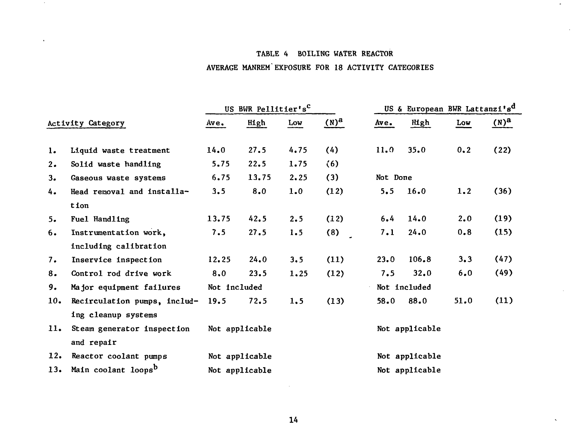## TABLE 4 BOILING WATER REACTOR

 $\sim$ 

## AVERAGE MANREM'EXPOSURE FOR 18 ACTIVITY CATEGORIES

|     |                                 |              | US BWR Pellitier's <sup>C</sup> |      |         |          | US & European BWR Lattanzi's <sup>d</sup> |      |         |
|-----|---------------------------------|--------------|---------------------------------|------|---------|----------|-------------------------------------------|------|---------|
|     | Activity Category               | Ave.         | High                            | Low  | $(N)^a$ | Ave.     | High                                      | Low  | $(N)^a$ |
| 1.  | Liquid waste treatment          | 14.0         | 27.5                            | 4.75 | (4)     | 11.0     | 35.0                                      | 0.2  | (22)    |
| 2.  | Solid waste handling            | 5.75         | 22.5                            | 1.75 | (6)     |          |                                           |      |         |
| 3.  | Gaseous waste systems           | 6.75         | 13.75                           | 2.25 | (3)     | Not Done |                                           |      |         |
| 4.  | Head removal and installa-      | 3.5          | 8.0                             | 1.0  | (12)    | 5.5      | 16.0                                      | 1.2  | (36)    |
|     | tion                            |              |                                 |      |         |          |                                           |      |         |
| 5.  | Fuel Handling                   | 13.75        | 42.5                            | 2.5  | (12)    | 6.4      | 14.0                                      | 2.0  | (19)    |
| 6.  | Instrumentation work,           | 7.5          | 27.5                            | 1.5  | (8)     | 7.1      | 24.0                                      | 0.8  | (15)    |
|     | including calibration           |              |                                 |      |         |          |                                           |      |         |
| 7.  | Inservice inspection            | 12.25        | 24.0                            | 3.5  | (11)    | 23.0     | 106.8                                     | 3.3  | (47)    |
| 8.  | Control rod drive work          | 8.0          | 23.5                            | 1.25 | (12)    | 7.5      | 32.0                                      | 6.0  | (49)    |
| 9.  | Major equipment failures        | Not included |                                 |      |         |          | Not included                              |      |         |
| 10. | Recirculation pumps, includ-    | 19.5         | 72.5                            | 1, 5 | (13)    | 58.0     | 88.0                                      | 51.0 | (11)    |
|     | ing cleanup systems             |              |                                 |      |         |          |                                           |      |         |
| 11. | Steam generator inspection      |              | Not applicable                  |      |         |          | Not applicable                            |      |         |
|     | and repair                      |              |                                 |      |         |          |                                           |      |         |
| 12. | Reactor coolant pumps           |              | Not applicable                  |      |         |          | Not applicable                            |      |         |
| 13. | Main coolant loops <sup>b</sup> |              | Not applicable                  |      |         |          | Not applicable                            |      |         |

 $\sim$ 

 $\alpha$ 

 $\sim$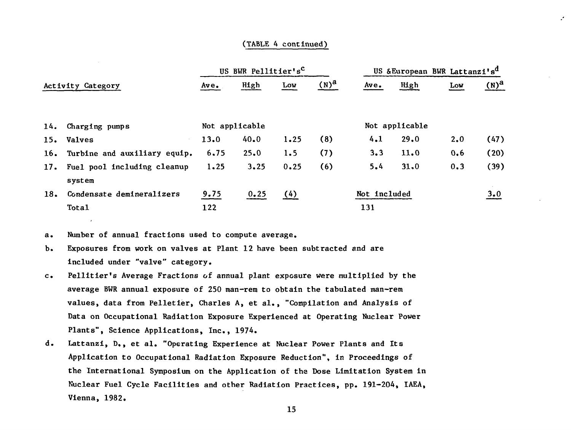### (TABLE 4 continued)

|     |                                  | US BWR Pellitier's <sup>C</sup> |                |      |         |              | US & European BWR Lattanzi's <sup>d</sup> |     |         |  |
|-----|----------------------------------|---------------------------------|----------------|------|---------|--------------|-------------------------------------------|-----|---------|--|
|     | Activity Category                | Ave.                            | High           | Low  | $(N)^a$ | $A$ ve.      | High                                      | Low | $(N)^a$ |  |
|     | 14. Charging pumps               |                                 | Not applicable |      |         |              | Not applicable                            |     |         |  |
|     | 15. Valves                       | 13.0                            | 40.0           | 1.25 | (8)     | 4.1          | 29.0                                      | 2.0 | (47)    |  |
|     | 16. Turbine and auxiliary equip. | 6.75                            | 25.0           | 1.5  | (7)     | 3.3          | 11.0                                      | 0,6 | (20)    |  |
|     | 17. Fuel pool including cleanup  | 1.25                            | 3.25           | 0.25 | (6)     | 5.4          | 31,0                                      | 0.3 | (39)    |  |
|     | system                           |                                 |                |      |         |              |                                           |     |         |  |
| 18. | Condensate demineralizers        | 9.75                            | 0.25           | (4)  |         | Not included |                                           |     | 3.0     |  |
|     | Total                            | 122                             |                |      |         | 131          |                                           |     |         |  |

a. Number of annual fractions used to compute average.

- b. Exposures from work on valves at Plant 12 have been subtracted and are included under "valve" category.
- c. Pellitier's Average Fractions of annual plant exposure were multiplied by the average BWR annual exposure of 250 man-rem to obtain the tabulated man-rem values, data from Pelletier, Charles A, et al., "Compilation and Analysis of Data on Occupational Radiation Exposure Experienced at Operating Nuclear Power Plants", Science Applications, Inc., 1974.
- d. Lattanzi, D,, et al. "Operating Experience at Nuclear Power Plants and Its Application to Occupational Radiation Exposure Reduction", in Proceedings of the International Symposium on the Application of the Dose Limitation System in Nuclear Fuel Cycle Facilities and other Radiation Practices, pp. 191-204, IAEA, Vienna, 1982.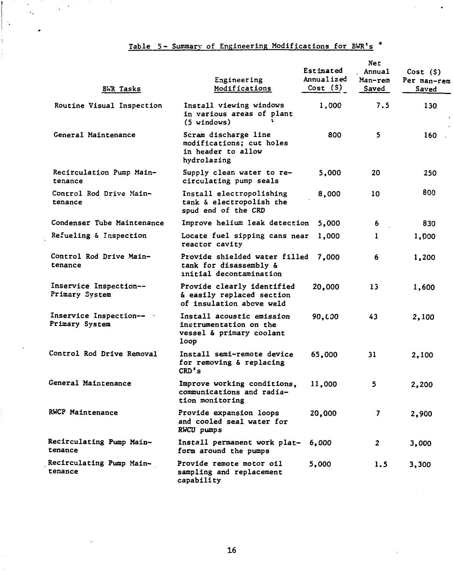## **Table S- Summary of Engineering Modifications for BWR's \***

 $\bullet$ 

 $\bullet$ 

والمستنقذ كالمستخل

j Î  $\hat{\mathcal{A}}$ 

| <b>BWR Tasks</b>                         | Engineering<br>Modifications                                                            | Estimated<br>Annualized<br>Cost(S) | Net<br>Annual<br>Man-rem<br>Saved | Cost (S)<br>Per man-rem<br>Saved |
|------------------------------------------|-----------------------------------------------------------------------------------------|------------------------------------|-----------------------------------|----------------------------------|
| Routine Visual Inspection                | Install viewing windows<br>in various areas of plant<br>(5 windows)                     | 1,000                              | 7.5                               | 130                              |
| General Maintenance                      | Scram discharge line<br>modifications; cut holes<br>in header to allow<br>hydrolazing   | 800                                | 5                                 | 160                              |
| Recirculation Pump Main-<br>tenance      | Supply clean water to re-<br>circulating pump seals                                     | 5,000                              | 20                                | 250                              |
| Control Rod Drive Main-<br>tenance       | Install electropolishing<br>tank & electropolish the<br>spud end of the CRD             | 8,000                              | 10                                | 800                              |
| Condenser Tube Maintenance               | Improve helium leak detection                                                           | 5,000                              | 6                                 | 830                              |
| Refueling & Inspection                   | Locate fuel sipping cans near<br>reactor cavity                                         | 1,000                              | 1                                 | 1,000                            |
| Control Rod Drive Main-<br>tenance       | Provide shielded water filled<br>tank for disassembly &<br>initial decontamination      | 7,000                              | 6.                                | 1,200                            |
| Inservice Inspection--<br>Primary System | Provide clearly identified<br>& easily replaced section<br>of insulation above weld     | 20,000                             | 13                                | 1,600                            |
| Inservice Inspection--<br>Primary System | Install acoustic emission<br>instrumentation on the<br>vessel & primary coolant<br>loop | 90,000                             | 43                                | 2,100                            |
| Control Rod Drive Removal                | Install semi-remote device<br>for removing & replacing<br>CD's                          | 65,000                             | 31                                | 2,100                            |
| General Maintenance                      | Improve working conditions,<br>communications and radia-<br>tion monitoring             | 11,000                             | 5                                 | 2,200                            |
| <b>RWCP Maintenance</b>                  | Provide expansion loops<br>and cooled seal water for<br>RWCU pumps                      | 20,000                             | $\overline{\mathbf{z}}$           | 2,900                            |
| Recirculating Pump Main-<br>tenance      | Install permanent work plat-<br>form around the pumps                                   | 6,000                              | 2                                 | 3,000                            |
| Recirculating Pump Main-<br>tenance      | Provide remote motor oil<br>sampling and replacement<br>capability                      | 5,000                              | 1.5                               | 3,300                            |

 $\overline{a}$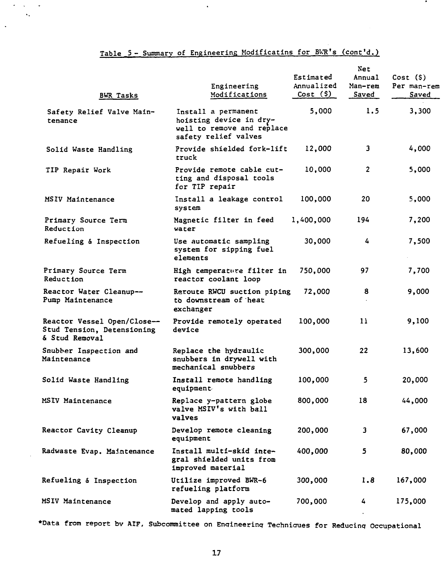## Table 5 - Summary of Engineering Modificatins for BWR's (cont'd.)

 $\hat{\textbf{z}}$ 

 $\mathcal{O}(\mathcal{F})$  , we have

 $\sim$   $\sim$ 

 $\bar{z}$ 

 $\ddot{\phantom{a}}$ 

 $\bullet$ 

| <b>BWR Tasks</b>                                                            | Engineering<br>Modifications                                                                         | Estimated<br>Annualized<br>Cost(5) | Net<br>Annual<br>Man-rem<br>Saved | Cost(S)<br>Per man-rem<br>Saved |
|-----------------------------------------------------------------------------|------------------------------------------------------------------------------------------------------|------------------------------------|-----------------------------------|---------------------------------|
| Safety Relief Valve Main-<br>tenance                                        | Install a permanent<br>hoisting device in dry-<br>well to remove and replace<br>safety relief valves | 5,000                              | 1.5                               | 3,300                           |
| Solid Waste Handling                                                        | Provide shielded fork-lift<br>truck                                                                  | 12,000                             | 3                                 | 4,000                           |
| TIP Repair Work                                                             | Provide remote cable cut-<br>ting and disposal tools<br>for TIP repair                               | 10,000                             | $\overline{2}$                    | 5,000                           |
| MSIV Maintenance                                                            | Install a leakage control<br>system                                                                  | 100,000                            | 20.                               | 5,000                           |
| Primary Source Term<br>Reduction                                            | Magnetic filter in feed<br>water                                                                     | 1,400,000                          | 194                               | 7,200                           |
| Refueling & Inspection                                                      | Use automatic sampling<br>system for sipping fuel<br>elements                                        | 30,000                             | 4                                 | 7,500                           |
| Primary Source Term<br>Reduction                                            | High temperature filter in<br>reactor coolant loop                                                   | 750,000                            | 97                                | 7,700                           |
| Reactor Water Cleanup--<br>Pump Maintenance                                 | Reroute RWCU suction piping<br>to downstream of heat<br>exchanger                                    | 72,000                             | 8                                 | 9,000                           |
| Reactor Vessel Open/Close--<br>Stud Tension, Detensioning<br>& Stud Removal | Provide remotely operated<br>device                                                                  | 100,000                            | 11                                | 9,100                           |
| Snubber Inspection and<br>Maintenance                                       | Replace the hydraulic<br>snubbers in drywell with<br>mechanical snubbers                             | 300,000                            | 22                                | 13,600                          |
| Solid Waste Handling                                                        | Install remote handling<br>equipment                                                                 | 100,000                            | 5                                 | 20,000                          |
| MSIV Maintenance                                                            | Replace y-pattern globe<br>valve MSIV's with ball<br>valves                                          | 800,000                            | 18                                | 44,000                          |
| Reactor Cavity Cleanup                                                      | Develop remote cleaning<br>equipment                                                                 | 200,000                            | 3                                 | 67,000                          |
| Radwaste Evap. Maintenance                                                  | Install multi-skid inte-<br>gral shielded units from<br>improved material                            | 400,000                            | 5                                 | 80,000                          |
| Refueling & Inspection                                                      | Utilize improved BWR-6<br>refueling platform                                                         | 300,000                            | 1.8                               | 167,000                         |
| MSIV Maintenance                                                            | Develop and apply auto-<br>mated lapping tools                                                       | 700,000                            | 4                                 | 175,000                         |

\*Data from report bv AXF, Subcommittee on Engineering Technioues for Reducing Occupational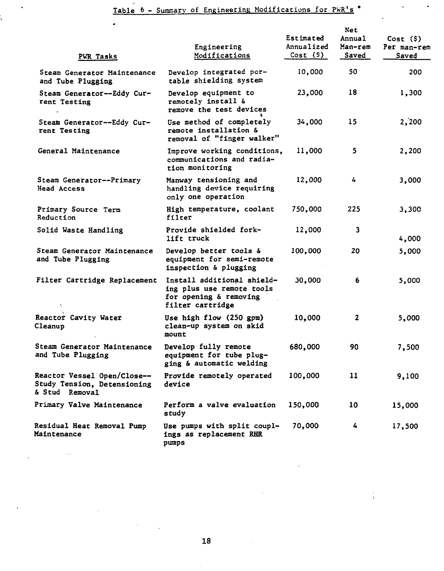$\ddot{\phantom{0}}$ 

 $\ddot{\phantom{0}}$ 

 $\mathcal{L}_{\mathcal{A}}$ 

 $\sim$ 

| PWR Tasks                                                                    | Engineering<br>Modifications                                                                          | Estimated<br>Annualized<br>Cost(S) | Net<br>Annual<br>Man-rem<br>Saved | Cost(S)<br>Per man-rem<br>Saved |
|------------------------------------------------------------------------------|-------------------------------------------------------------------------------------------------------|------------------------------------|-----------------------------------|---------------------------------|
| Steam Generator Maintenance<br>and Tube Plugging                             | Develop integrated por-<br>table shielding system                                                     | 10,000                             | 50                                | 200                             |
| Steam Generator--Eddy Cur-<br>rent Testing                                   | Develop equipment to<br>remotely install &<br>remove the test devices                                 | 23,000                             | 18                                | 1,300                           |
| Steam Generator--Eddy Cur-<br>rent Testing                                   | Use method of completely<br>remote installation &<br>removal of "finger walker"                       | 34,000                             | 15                                | 2,200                           |
| General Maintenance                                                          | Improve working conditions,<br>communications and radia-<br>tion monitoring                           | 11,000                             | 5                                 | 2,200                           |
| Steam Generator--Primary<br>Head Access                                      | Manway tensioning and<br>handling device requiring<br>only one operation                              | 12,000                             | 4                                 | 3,000                           |
| Primary Source Term<br>Reduction                                             | High temperature, coolant<br>filter                                                                   | 750,000                            | 225                               | 3,300                           |
| Solid Waste Handling                                                         | Provide shielded fork-<br>lift truck                                                                  | 12,000                             | 3                                 | 4,000                           |
| Steam Generator Maintenance<br>and Tube Plugging                             | Develop better tools &<br>equipment for semi-remote<br>inspection & plugging                          | 100,000                            | 20                                | 5,000                           |
| Filter Cartridge Replacement                                                 | Install additional shield-<br>ing plus use remote tools<br>for opening & removing<br>filter cartridge | 30,000                             | 6                                 | 5,000                           |
| Reactor Cavity Water<br>Cleanup                                              | Use high flow (250 gpm)<br>clean-up system on skid<br>mount                                           | 10,000                             | $\mathbf{z}$                      | 5,000                           |
| Steam Generator Maintenance<br>and Tube Plugging                             | Develop fully remote<br>equipment for tube plug-<br>ging & automatic welding                          | 680,000                            | 90.                               | 7,500                           |
| Reactor Vessel Open/Close--<br>Study Tension, Detensioning<br>& Stud Removal | Provide remotely operated<br>device                                                                   | 100,000                            | 11                                | 9,100                           |
| Primary Valve Maintenance                                                    | Perform a valve evaluation<br>study                                                                   | 150,000                            | 10                                | 15,000                          |
| Residual Heat Removal Pump<br>Maintenance                                    | Use pumps with split coupl-<br>ings as replacement RHR<br>pumps                                       | 70,000                             | 4                                 | 17,500                          |

 $\epsilon$ 

 $\frac{1}{4}$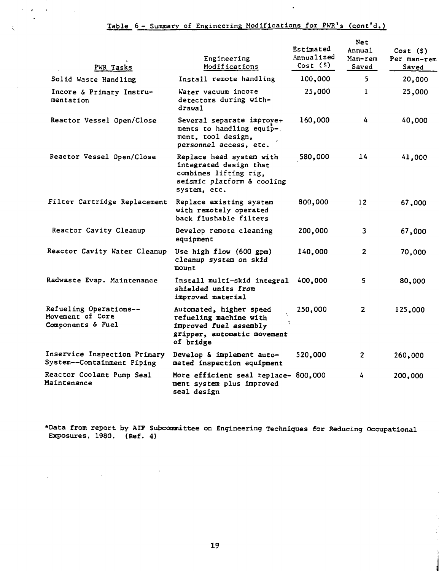$\mathbf{r}_i$  ,  $\mathbf{r}_i$  ,  $\mathbf{r}_i$  ,  $\mathbf{r}_i$  ,  $\mathbf{r}_i$  ,  $\mathbf{r}_i$ 

 $\mathcal{L}^{\text{max}}$ 

 $\label{eq:2.1} \frac{1}{\sqrt{2\pi}}\int_{\mathbb{R}^3}\frac{1}{\sqrt{2\pi}}\int_{\mathbb{R}^3}\frac{1}{\sqrt{2\pi}}\int_{\mathbb{R}^3}\frac{1}{\sqrt{2\pi}}\int_{\mathbb{R}^3}\frac{1}{\sqrt{2\pi}}\int_{\mathbb{R}^3}\frac{1}{\sqrt{2\pi}}\int_{\mathbb{R}^3}\frac{1}{\sqrt{2\pi}}\int_{\mathbb{R}^3}\frac{1}{\sqrt{2\pi}}\int_{\mathbb{R}^3}\frac{1}{\sqrt{2\pi}}\int_{\mathbb{R}^3}\frac{1$ 

 $\Delta$ 

 $\lambda$ 

 $\ddot{\phantom{a}}$ 

 $\hat{\bullet}$ 

| PWR Tasks                                                       | Engineering<br>Modifications                                                                                              | Estimated<br>Annualized<br>Cost(S) | Net<br>Annual<br>Man-rem<br>Saved | Cost(S)<br>Per man-rem<br>Saved |
|-----------------------------------------------------------------|---------------------------------------------------------------------------------------------------------------------------|------------------------------------|-----------------------------------|---------------------------------|
| Solid Waste Handling                                            | Install remote handling                                                                                                   | 100,000                            | 5.                                | 20,000                          |
| Incore & Primary Instru-<br>mentation                           | Water vacuum incore<br>detectors during with-<br>drawal                                                                   | 25,000                             | 1                                 | 25,000                          |
| Reactor Vessel Open/Close                                       | Several separate improve-<br>ments to handling equip-.<br>ment, tool design,<br>personnel access, etc.                    | 160,000                            | 4                                 | 40,000                          |
| Reactor Vessel Open/Close                                       | Replace head system with<br>integrated design that<br>combines lifting rig,<br>seismic platform & cooling<br>system, etc. | 580,000                            | 14                                | 41,000                          |
| Filter Cartridge Replacement                                    | Replace existing system<br>with remotely operated<br>back flushable filters                                               | 800,000                            | 12 <sup>2</sup>                   | 67,000                          |
| Reactor Cavity Cleanup                                          | Develop remote cleaning<br>equipment                                                                                      | 200,000                            | 3                                 | 67,000                          |
| Reactor Cavity Water Cleanup                                    | Use high flow (600 gpm)<br>cleanup system on skid<br>mount                                                                | 140,000                            | $\mathbf{2}$                      | 70,000                          |
| Radwaste Evap. Maintenance                                      | Install multi-skid integral<br>shielded units from<br>improved material                                                   | 400,000                            | 5.                                | 80,000                          |
| Refueling Operations--<br>Movement of Core<br>Components & Fuel | Automated, higher speed<br>refueling machine with<br>improved fuel assembly<br>gripper, automatic movement<br>of bridge   | 250,000                            | $\overline{2}$                    | 125,000                         |
| Inservice Inspection Primary<br>System--Containment Piping      | Develop & implement auto-<br>mated inspection equipment                                                                   | 520,000                            | 2                                 | 260,000                         |
| Reactor Coolant Pump Seal<br>Maintenance                        | More efficient seal replace- 800,000<br>ment system plus improved<br>seal design                                          |                                    | 4                                 | 200,000                         |

•Data from report by AIP Subcommittee on Engineering Techniques for Reducing Occupational Exposures, 1980. (Ref. 4)

 $\sim$